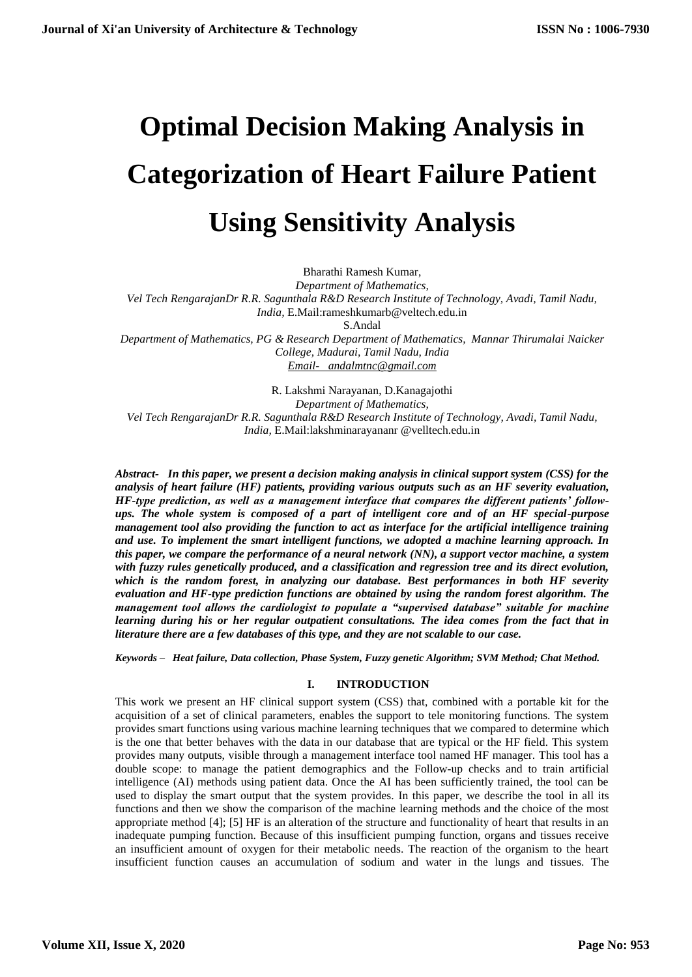# **Optimal Decision Making Analysis in Categorization of Heart Failure Patient Using Sensitivity Analysis**

Bharathi Ramesh Kumar, *Department of Mathematics, Vel Tech RengarajanDr R.R. Sagunthala R&D Research Institute of Technology, Avadi, Tamil Nadu, India,* E.Mail:rameshkumarb@veltech.edu.in S.Andal *Department of Mathematics, PG & Research Department of Mathematics, Mannar Thirumalai Naicker College, Madurai, Tamil Nadu, India*

*[Email- andalmtnc@gmail.com](mailto:Email-%20%20%20andalmtnc@gmail.com)* 

R. Lakshmi Narayanan, D.Kanagajothi *Department of Mathematics, Vel Tech RengarajanDr R.R. Sagunthala R&D Research Institute of Technology, Avadi, Tamil Nadu, India,* E.Mail:lakshminarayananr @velltech.edu.in

*Abstract- In this paper, we present a decision making analysis in clinical support system (CSS) for the analysis of heart failure (HF) patients, providing various outputs such as an HF severity evaluation, HF-type prediction, as well as a management interface that compares the different patients' followups. The whole system is composed of a part of intelligent core and of an HF special-purpose management tool also providing the function to act as interface for the artificial intelligence training and use. To implement the smart intelligent functions, we adopted a machine learning approach. In this paper, we compare the performance of a neural network (NN), a support vector machine, a system with fuzzy rules genetically produced, and a classification and regression tree and its direct evolution, which is the random forest, in analyzing our database. Best performances in both HF severity evaluation and HF-type prediction functions are obtained by using the random forest algorithm. The management tool allows the cardiologist to populate a "supervised database" suitable for machine learning during his or her regular outpatient consultations. The idea comes from the fact that in literature there are a few databases of this type, and they are not scalable to our case.*

*Keywords – Heat failure, Data collection, Phase System, Fuzzy genetic Algorithm; SVM Method; Chat Method.* 

# **I. INTRODUCTION**

This work we present an HF clinical support system (CSS) that, combined with a portable kit for the acquisition of a set of clinical parameters, enables the support to tele monitoring functions. The system provides smart functions using various machine learning techniques that we compared to determine which is the one that better behaves with the data in our database that are typical or the HF field. This system provides many outputs, visible through a management interface tool named HF manager. This tool has a double scope: to manage the patient demographics and the Follow-up checks and to train artificial intelligence (AI) methods using patient data. Once the AI has been sufficiently trained, the tool can be used to display the smart output that the system provides. In this paper, we describe the tool in all its functions and then we show the comparison of the machine learning methods and the choice of the most appropriate method [4]; [5] HF is an alteration of the structure and functionality of heart that results in an inadequate pumping function. Because of this insufficient pumping function, organs and tissues receive an insufficient amount of oxygen for their metabolic needs. The reaction of the organism to the heart insufficient function causes an accumulation of sodium and water in the lungs and tissues. The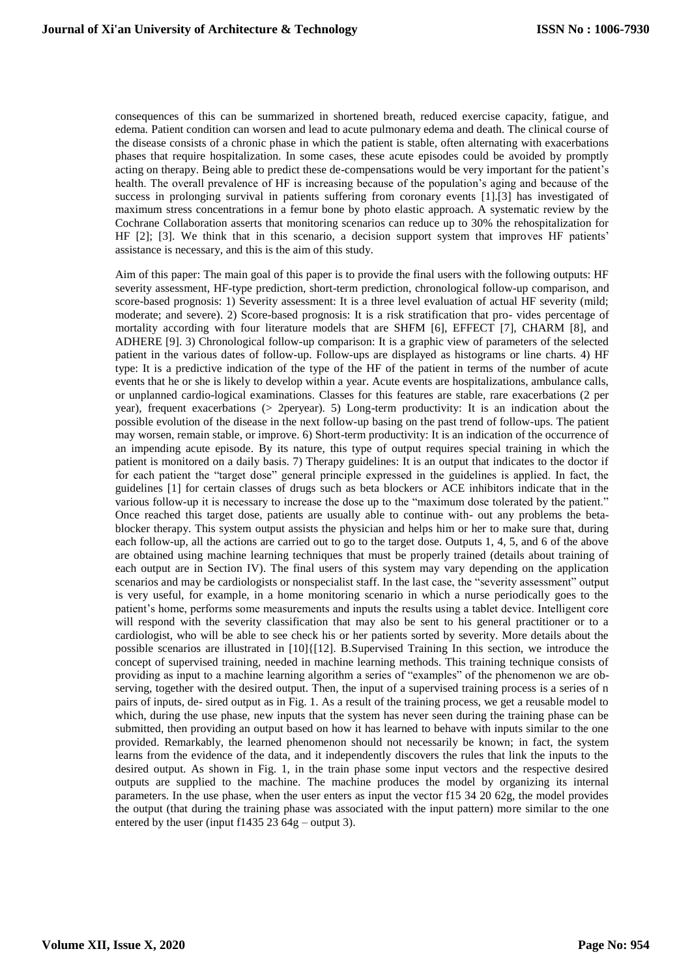consequences of this can be summarized in shortened breath, reduced exercise capacity, fatigue, and edema*.* Patient condition can worsen and lead to acute pulmonary edema and death. The clinical course of the disease consists of a chronic phase in which the patient is stable, often alternating with exacerbations phases that require hospitalization. In some cases, these acute episodes could be avoided by promptly acting on therapy. Being able to predict these de-compensations would be very important for the patient's health. The overall prevalence of HF is increasing because of the population's aging and because of the success in prolonging survival in patients suffering from coronary events [1].[3] has investigated of maximum stress concentrations in a femur bone by photo elastic approach. A systematic review by the Cochrane Collaboration asserts that monitoring scenarios can reduce up to 30% the rehospitalization for HF [2]; [3]. We think that in this scenario, a decision support system that improves HF patients' assistance is necessary, and this is the aim of this study.

Aim of this paper: The main goal of this paper is to provide the final users with the following outputs: HF severity assessment, HF-type prediction, short-term prediction, chronological follow-up comparison, and score-based prognosis: 1) Severity assessment: It is a three level evaluation of actual HF severity (mild; moderate; and severe). 2) Score-based prognosis: It is a risk stratification that pro- vides percentage of mortality according with four literature models that are SHFM [6], EFFECT [7], CHARM [8], and ADHERE [9]. 3) Chronological follow-up comparison: It is a graphic view of parameters of the selected patient in the various dates of follow-up. Follow-ups are displayed as histograms or line charts. 4) HF type: It is a predictive indication of the type of the HF of the patient in terms of the number of acute events that he or she is likely to develop within a year. Acute events are hospitalizations, ambulance calls, or unplanned cardio-logical examinations. Classes for this features are stable, rare exacerbations (2 per year), frequent exacerbations (> 2peryear). 5) Long-term productivity: It is an indication about the possible evolution of the disease in the next follow-up basing on the past trend of follow-ups. The patient may worsen, remain stable, or improve. 6) Short-term productivity: It is an indication of the occurrence of an impending acute episode. By its nature, this type of output requires special training in which the patient is monitored on a daily basis. 7) Therapy guidelines: It is an output that indicates to the doctor if for each patient the "target dose" general principle expressed in the guidelines is applied. In fact, the guidelines [1] for certain classes of drugs such as beta blockers or ACE inhibitors indicate that in the various follow-up it is necessary to increase the dose up to the "maximum dose tolerated by the patient." Once reached this target dose, patients are usually able to continue with- out any problems the betablocker therapy. This system output assists the physician and helps him or her to make sure that, during each follow-up, all the actions are carried out to go to the target dose. Outputs 1, 4, 5, and 6 of the above are obtained using machine learning techniques that must be properly trained (details about training of each output are in Section IV). The final users of this system may vary depending on the application scenarios and may be cardiologists or nonspecialist staff. In the last case, the "severity assessment" output is very useful, for example, in a home monitoring scenario in which a nurse periodically goes to the patient's home, performs some measurements and inputs the results using a tablet device. Intelligent core will respond with the severity classification that may also be sent to his general practitioner or to a cardiologist, who will be able to see check his or her patients sorted by severity. More details about the possible scenarios are illustrated in [10]{[12]. B.Supervised Training In this section, we introduce the concept of supervised training, needed in machine learning methods. This training technique consists of providing as input to a machine learning algorithm a series of "examples" of the phenomenon we are observing, together with the desired output. Then, the input of a supervised training process is a series of n pairs of inputs, de- sired output as in Fig. 1. As a result of the training process, we get a reusable model to which, during the use phase, new inputs that the system has never seen during the training phase can be submitted, then providing an output based on how it has learned to behave with inputs similar to the one provided. Remarkably, the learned phenomenon should not necessarily be known; in fact, the system learns from the evidence of the data, and it independently discovers the rules that link the inputs to the desired output. As shown in Fig. 1, in the train phase some input vectors and the respective desired outputs are supplied to the machine. The machine produces the model by organizing its internal parameters. In the use phase, when the user enters as input the vector f15 34 20 62g, the model provides the output (that during the training phase was associated with the input pattern) more similar to the one entered by the user (input f1435 23 64g – output 3).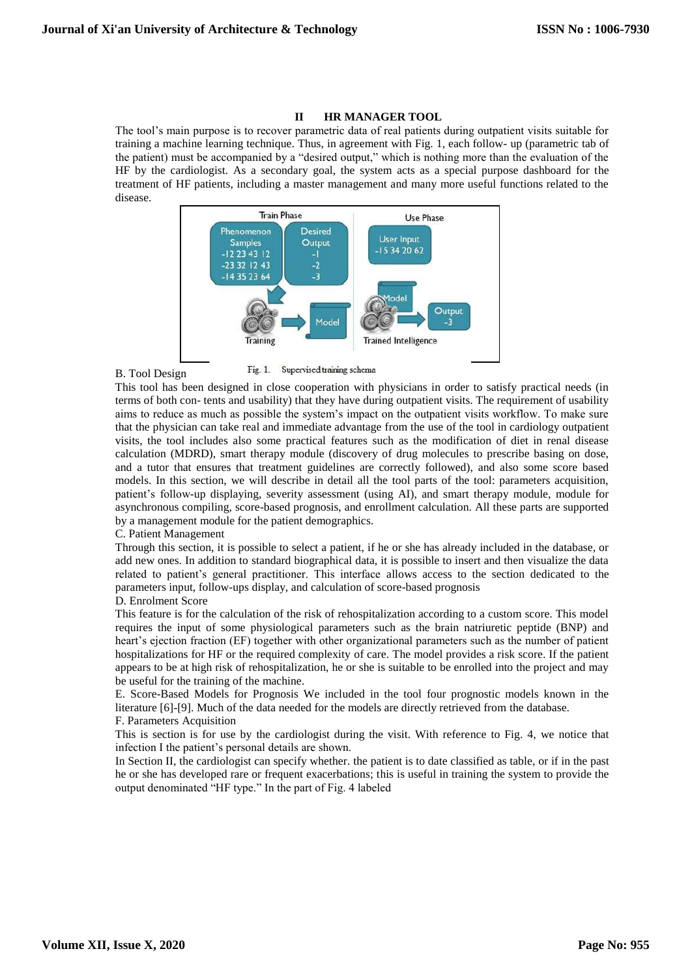### **II HR MANAGER TOOL**

The tool's main purpose is to recover parametric data of real patients during outpatient visits suitable for training a machine learning technique. Thus, in agreement with Fig. 1, each follow- up (parametric tab of the patient) must be accompanied by a "desired output," which is nothing more than the evaluation of the HF by the cardiologist. As a secondary goal, the system acts as a special purpose dashboard for the treatment of HF patients, including a master management and many more useful functions related to the disease.



B. Tool Design

Fig. 1. Supervised training schema

This tool has been designed in close cooperation with physicians in order to satisfy practical needs (in terms of both con- tents and usability) that they have during outpatient visits. The requirement of usability aims to reduce as much as possible the system's impact on the outpatient visits workflow. To make sure that the physician can take real and immediate advantage from the use of the tool in cardiology outpatient visits, the tool includes also some practical features such as the modification of diet in renal disease calculation (MDRD), smart therapy module (discovery of drug molecules to prescribe basing on dose, and a tutor that ensures that treatment guidelines are correctly followed), and also some score based models. In this section, we will describe in detail all the tool parts of the tool: parameters acquisition, patient's follow-up displaying, severity assessment (using AI), and smart therapy module, module for asynchronous compiling, score-based prognosis, and enrollment calculation. All these parts are supported by a management module for the patient demographics.

C. Patient Management

Through this section, it is possible to select a patient, if he or she has already included in the database, or add new ones. In addition to standard biographical data, it is possible to insert and then visualize the data related to patient's general practitioner. This interface allows access to the section dedicated to the parameters input, follow-ups display, and calculation of score-based prognosis

D. Enrolment Score

This feature is for the calculation of the risk of rehospitalization according to a custom score. This model requires the input of some physiological parameters such as the brain natriuretic peptide (BNP) and heart's ejection fraction (EF) together with other organizational parameters such as the number of patient hospitalizations for HF or the required complexity of care. The model provides a risk score. If the patient appears to be at high risk of rehospitalization, he or she is suitable to be enrolled into the project and may be useful for the training of the machine.

E. Score-Based Models for Prognosis We included in the tool four prognostic models known in the literature [6]-[9]. Much of the data needed for the models are directly retrieved from the database.

F. Parameters Acquisition

This is section is for use by the cardiologist during the visit. With reference to Fig. 4, we notice that infection I the patient's personal details are shown.

In Section II, the cardiologist can specify whether*.* the patient is to date classified as table, or if in the past he or she has developed rare or frequent exacerbations; this is useful in training the system to provide the output denominated "HF type." In the part of Fig. 4 labeled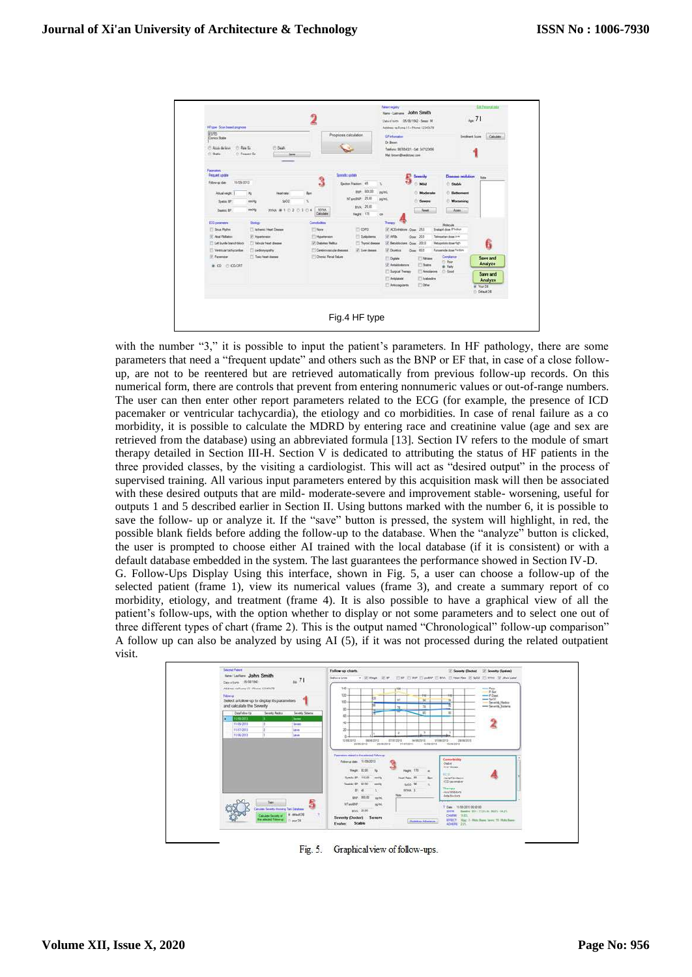

with the number "3," it is possible to input the patient's parameters. In HF pathology, there are some parameters that need a "frequent update" and others such as the BNP or EF that, in case of a close followup, are not to be reentered but are retrieved automatically from previous follow-up records. On this numerical form, there are controls that prevent from entering nonnumeric values or out-of-range numbers. The user can then enter other report parameters related to the ECG (for example, the presence of ICD pacemaker or ventricular tachycardia), the etiology and co morbidities. In case of renal failure as a co morbidity, it is possible to calculate the MDRD by entering race and creatinine value (age and sex are retrieved from the database) using an abbreviated formula [13]. Section IV refers to the module of smart therapy detailed in Section III-H. Section V is dedicated to attributing the status of HF patients in the three provided classes, by the visiting a cardiologist. This will act as "desired output" in the process of supervised training. All various input parameters entered by this acquisition mask will then be associated with these desired outputs that are mild- moderate-severe and improvement stable- worsening, useful for outputs 1 and 5 described earlier in Section II. Using buttons marked with the number 6, it is possible to save the follow- up or analyze it. If the "save" button is pressed, the system will highlight, in red, the possible blank fields before adding the follow-up to the database. When the "analyze" button is clicked, the user is prompted to choose either AI trained with the local database (if it is consistent) or with a default database embedded in the system. The last guarantees the performance showed in Section IV-D.

G. Follow-Ups Display Using this interface, shown in Fig. 5, a user can choose a follow-up of the selected patient (frame 1), view its numerical values (frame 3), and create a summary report of co morbidity, etiology, and treatment (frame 4). It is also possible to have a graphical view of all the patient's follow-ups, with the option whether to display or not some parameters and to select one out of three different types of chart (frame 2). This is the output named "Chronological" follow-up comparison" A follow up can also be analyzed by using AI (5), if it was not processed during the related outpatient visit.



Fig. 5. Graphical view of follow-ups.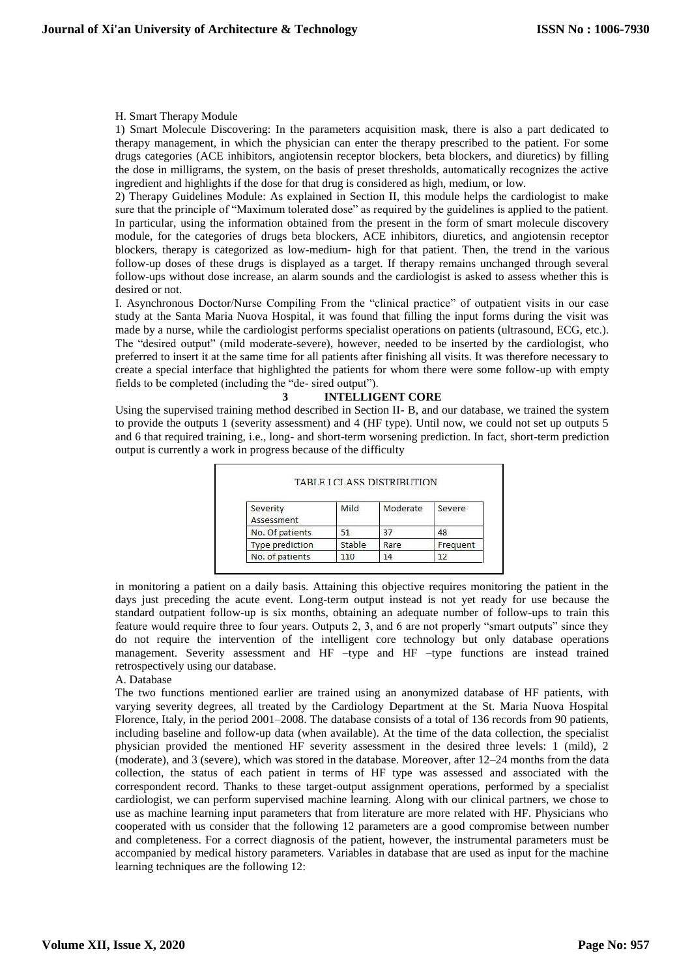# H. Smart Therapy Module

1) Smart Molecule Discovering: In the parameters acquisition mask, there is also a part dedicated to therapy management, in which the physician can enter the therapy prescribed to the patient. For some drugs categories (ACE inhibitors, angiotensin receptor blockers, beta blockers, and diuretics) by filling the dose in milligrams, the system, on the basis of preset thresholds, automatically recognizes the active ingredient and highlights if the dose for that drug is considered as high, medium, or low.

2) Therapy Guidelines Module: As explained in Section II, this module helps the cardiologist to make sure that the principle of "Maximum tolerated dose" as required by the guidelines is applied to the patient. In particular, using the information obtained from the present in the form of smart molecule discovery module, for the categories of drugs beta blockers, ACE inhibitors, diuretics, and angiotensin receptor blockers, therapy is categorized as low-medium- high for that patient. Then, the trend in the various follow-up doses of these drugs is displayed as a target. If therapy remains unchanged through several follow-ups without dose increase, an alarm sounds and the cardiologist is asked to assess whether this is desired or not.

I. Asynchronous Doctor/Nurse Compiling From the "clinical practice" of outpatient visits in our case study at the Santa Maria Nuova Hospital, it was found that filling the input forms during the visit was made by a nurse, while the cardiologist performs specialist operations on patients (ultrasound, ECG, etc.). The "desired output" (mild moderate-severe), however, needed to be inserted by the cardiologist, who preferred to insert it at the same time for all patients after finishing all visits. It was therefore necessary to create a special interface that highlighted the patients for whom there were some follow-up with empty fields to be completed (including the "de- sired output").

# **3 INTELLIGENT CORE**

Using the supervised training method described in Section II- B, and our database, we trained the system to provide the outputs 1 (severity assessment) and 4 (HF type). Until now, we could not set up outputs 5 and 6 that required training, i.e., long- and short-term worsening prediction. In fact, short-term prediction output is currently a work in progress because of the difficulty

| Severity<br>Assessment | Mild   | Moderate | Severe   |
|------------------------|--------|----------|----------|
| No. Of patients        | 51     | 37       | 48       |
| Type prediction        | Stable | Rare     | Frequent |
| No. of patients        | 110    | 14       |          |

in monitoring a patient on a daily basis. Attaining this objective requires monitoring the patient in the days just preceding the acute event. Long-term output instead is not yet ready for use because the standard outpatient follow-up is six months, obtaining an adequate number of follow-ups to train this feature would require three to four years. Outputs 2, 3, and 6 are not properly "smart outputs" since they do not require the intervention of the intelligent core technology but only database operations management. Severity assessment and HF –type and HF –type functions are instead trained retrospectively using our database.

#### A. Database

The two functions mentioned earlier are trained using an anonymized database of HF patients, with varying severity degrees, all treated by the Cardiology Department at the St. Maria Nuova Hospital Florence, Italy, in the period 2001–2008. The database consists of a total of 136 records from 90 patients, including baseline and follow-up data (when available). At the time of the data collection, the specialist physician provided the mentioned HF severity assessment in the desired three levels: 1 (mild), 2 (moderate), and 3 (severe), which was stored in the database. Moreover, after 12–24 months from the data collection, the status of each patient in terms of HF type was assessed and associated with the correspondent record. Thanks to these target-output assignment operations, performed by a specialist cardiologist, we can perform supervised machine learning. Along with our clinical partners, we chose to use as machine learning input parameters that from literature are more related with HF. Physicians who cooperated with us consider that the following 12 parameters are a good compromise between number and completeness. For a correct diagnosis of the patient, however, the instrumental parameters must be accompanied by medical history parameters. Variables in database that are used as input for the machine learning techniques are the following 12: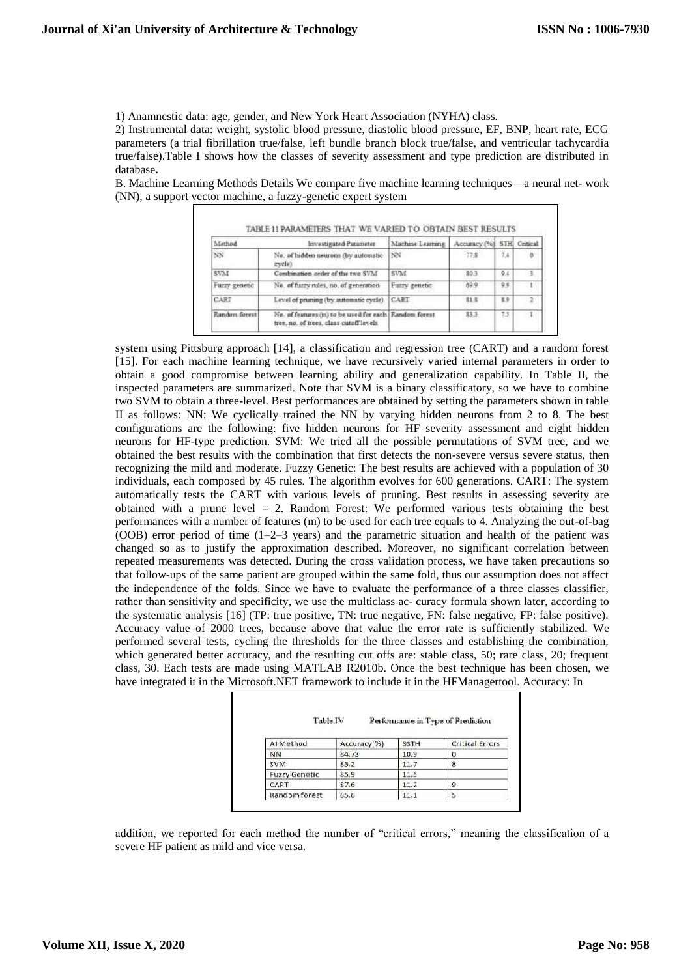1) Anamnestic data: age, gender, and New York Heart Association (NYHA) class.

2) Instrumental data: weight, systolic blood pressure, diastolic blood pressure, EF, BNP, heart rate, ECG parameters (a trial fibrillation true/false, left bundle branch block true/false, and ventricular tachycardia true/false).Table I shows how the classes of severity assessment and type prediction are distributed in database**.**

B. Machine Learning Methods Details We compare five machine learning techniques—a neural net- work (NN), a support vector machine, a fuzzy-genetic expert system

| Method                            | Investigated Parameter                                                                            | Machine Learning | Accuracy (%)   |     | STH Critical |
|-----------------------------------|---------------------------------------------------------------------------------------------------|------------------|----------------|-----|--------------|
| NN                                | No. of hidden neurons (by automatic<br>evele)                                                     | INN-             | 77.8           | 7.4 |              |
| SVM                               | Combination order of the two SVM                                                                  | SVM              | 80.3           | 9.4 | -3           |
| Fuzzy genetic                     | No. of fuzzy rules, no. of generation                                                             | Fuzzy genetic.   | 609            | 99  |              |
| CART                              | Level of pruning (by automatic cycle).                                                            | CART             | 81.5           | E9  | $\mathbf{r}$ |
| Random forest<br>TV IO 3000 PARTS | No. of features (m) to be used for each Random forest<br>tree, no. of trees, class cutoff levels. |                  | 83.3<br>1,0100 | 7.5 |              |

system using Pittsburg approach [14], a classification and regression tree (CART) and a random forest [15]. For each machine learning technique, we have recursively varied internal parameters in order to obtain a good compromise between learning ability and generalization capability. In Table II, the inspected parameters are summarized. Note that SVM is a binary classificatory, so we have to combine two SVM to obtain a three-level. Best performances are obtained by setting the parameters shown in table II as follows: NN: We cyclically trained the NN by varying hidden neurons from 2 to 8. The best configurations are the following: five hidden neurons for HF severity assessment and eight hidden neurons for HF-type prediction. SVM: We tried all the possible permutations of SVM tree, and we obtained the best results with the combination that first detects the non-severe versus severe status, then recognizing the mild and moderate. Fuzzy Genetic: The best results are achieved with a population of 30 individuals, each composed by 45 rules. The algorithm evolves for 600 generations. CART: The system automatically tests the CART with various levels of pruning. Best results in assessing severity are obtained with a prune level  $= 2$ . Random Forest: We performed various tests obtaining the best performances with a number of features (m) to be used for each tree equals to 4. Analyzing the out-of-bag (OOB) error period of time (1–2–3 years) and the parametric situation and health of the patient was changed so as to justify the approximation described. Moreover, no significant correlation between repeated measurements was detected. During the cross validation process, we have taken precautions so that follow-ups of the same patient are grouped within the same fold, thus our assumption does not affect the independence of the folds. Since we have to evaluate the performance of a three classes classifier, rather than sensitivity and specificity, we use the multiclass ac- curacy formula shown later, according to the systematic analysis [16] (TP: true positive, TN: true negative, FN: false negative, FP: false positive). Accuracy value of 2000 trees, because above that value the error rate is sufficiently stabilized. We performed several tests, cycling the thresholds for the three classes and establishing the combination, which generated better accuracy, and the resulting cut offs are: stable class, 50; rare class, 20; frequent class, 30. Each tests are made using MATLAB R2010b. Once the best technique has been chosen, we have integrated it in the Microsoft.NET framework to include it in the HFManagertool. Accuracy: In

| Table:IV             |             |             | Performance in Type of Prediction |
|----------------------|-------------|-------------|-----------------------------------|
| Al Method            | Accuracy(%) | <b>SSTH</b> | <b>Critical Errors</b>            |
| NN                   | 84.73       | 10.9        |                                   |
| <b>SVM</b>           | 85.2        | 11.7        | 8                                 |
| <b>Fuzzy Genetic</b> | 85.9        | 11.5        |                                   |
| CART                 | 87.6        | 11.2        | 9                                 |
| Random forest        | 85.6        | 11.1        |                                   |

addition, we reported for each method the number of "critical errors," meaning the classification of a severe HF patient as mild and vice versa.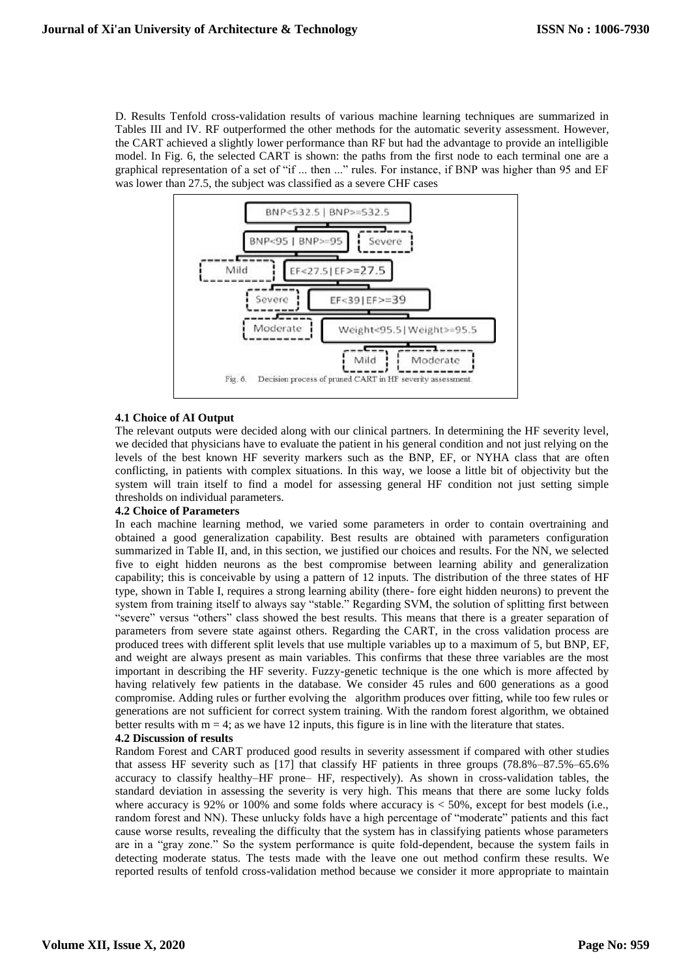D. Results Tenfold cross-validation results of various machine learning techniques are summarized in Tables III and IV. RF outperformed the other methods for the automatic severity assessment. However, the CART achieved a slightly lower performance than RF but had the advantage to provide an intelligible model. In Fig. 6, the selected CART is shown: the paths from the first node to each terminal one are a graphical representation of a set of "if ... then ..." rules. For instance, if BNP was higher than 95 and EF was lower than 27.5, the subject was classified as a severe CHF cases



# **4.1 Choice of AI Output**

The relevant outputs were decided along with our clinical partners. In determining the HF severity level, we decided that physicians have to evaluate the patient in his general condition and not just relying on the levels of the best known HF severity markers such as the BNP, EF, or NYHA class that are often conflicting, in patients with complex situations. In this way, we loose a little bit of objectivity but the system will train itself to find a model for assessing general HF condition not just setting simple thresholds on individual parameters.

#### **4.2 Choice of Parameters**

In each machine learning method, we varied some parameters in order to contain overtraining and obtained a good generalization capability. Best results are obtained with parameters configuration summarized in Table II, and, in this section, we justified our choices and results. For the NN, we selected five to eight hidden neurons as the best compromise between learning ability and generalization capability; this is conceivable by using a pattern of 12 inputs. The distribution of the three states of HF type, shown in Table I, requires a strong learning ability (there- fore eight hidden neurons) to prevent the system from training itself to always say "stable." Regarding SVM, the solution of splitting first between "severe" versus "others" class showed the best results. This means that there is a greater separation of parameters from severe state against others. Regarding the CART, in the cross validation process are produced trees with different split levels that use multiple variables up to a maximum of 5, but BNP, EF, and weight are always present as main variables. This confirms that these three variables are the most important in describing the HF severity. Fuzzy-genetic technique is the one which is more affected by having relatively few patients in the database. We consider 45 rules and 600 generations as a good compromise. Adding rules or further evolving the algorithm produces over fitting, while too few rules or generations are not sufficient for correct system training. With the random forest algorithm, we obtained better results with  $m = 4$ ; as we have 12 inputs, this figure is in line with the literature that states.

# **4.2 Discussion of results**

Random Forest and CART produced good results in severity assessment if compared with other studies that assess HF severity such as [17] that classify HF patients in three groups (78.8%–87.5%–65.6% accuracy to classify healthy–HF prone– HF, respectively). As shown in cross-validation tables, the standard deviation in assessing the severity is very high. This means that there are some lucky folds where accuracy is 92% or 100% and some folds where accuracy is  $< 50\%$ , except for best models (i.e., random forest and NN). These unlucky folds have a high percentage of "moderate" patients and this fact cause worse results, revealing the difficulty that the system has in classifying patients whose parameters are in a "gray zone." So the system performance is quite fold-dependent, because the system fails in detecting moderate status. The tests made with the leave one out method confirm these results. We reported results of tenfold cross-validation method because we consider it more appropriate to maintain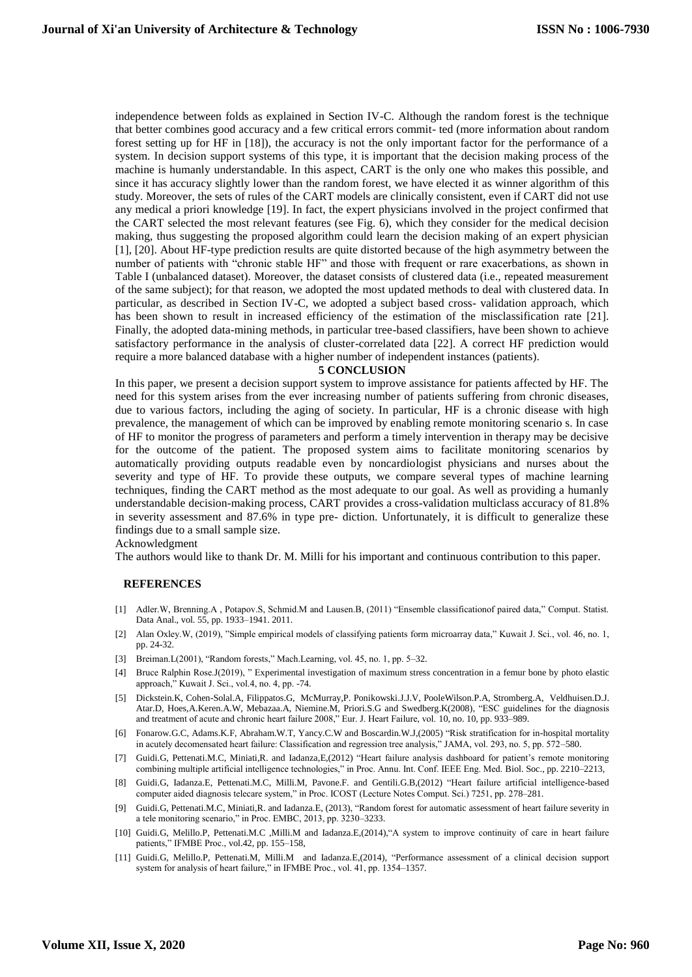independence between folds as explained in Section IV-C. Although the random forest is the technique that better combines good accuracy and a few critical errors commit- ted (more information about random forest setting up for HF in [18]), the accuracy is not the only important factor for the performance of a system. In decision support systems of this type, it is important that the decision making process of the machine is humanly understandable. In this aspect, CART is the only one who makes this possible, and since it has accuracy slightly lower than the random forest, we have elected it as winner algorithm of this study. Moreover, the sets of rules of the CART models are clinically consistent, even if CART did not use any medical a priori knowledge [19]. In fact, the expert physicians involved in the project confirmed that the CART selected the most relevant features (see Fig. 6), which they consider for the medical decision making, thus suggesting the proposed algorithm could learn the decision making of an expert physician [1], [20]. About HF-type prediction results are quite distorted because of the high asymmetry between the number of patients with "chronic stable HF" and those with frequent or rare exacerbations, as shown in Table I (unbalanced dataset). Moreover, the dataset consists of clustered data (i.e., repeated measurement of the same subject); for that reason, we adopted the most updated methods to deal with clustered data. In particular, as described in Section IV-C, we adopted a subject based cross- validation approach, which has been shown to result in increased efficiency of the estimation of the misclassification rate [21]. Finally, the adopted data-mining methods, in particular tree-based classifiers, have been shown to achieve satisfactory performance in the analysis of cluster-correlated data [22]. A correct HF prediction would require a more balanced database with a higher number of independent instances (patients).

#### **5 CONCLUSION**

In this paper, we present a decision support system to improve assistance for patients affected by HF. The need for this system arises from the ever increasing number of patients suffering from chronic diseases, due to various factors, including the aging of society. In particular, HF is a chronic disease with high prevalence, the management of which can be improved by enabling remote monitoring scenario s. In case of HF to monitor the progress of parameters and perform a timely intervention in therapy may be decisive for the outcome of the patient. The proposed system aims to facilitate monitoring scenarios by automatically providing outputs readable even by noncardiologist physicians and nurses about the severity and type of HF. To provide these outputs, we compare several types of machine learning techniques, finding the CART method as the most adequate to our goal. As well as providing a humanly understandable decision-making process, CART provides a cross-validation multiclass accuracy of 81.8% in severity assessment and 87.6% in type pre- diction. Unfortunately, it is difficult to generalize these findings due to a small sample size.

#### Acknowledgment

The authors would like to thank Dr. M. Milli for his important and continuous contribution to this paper.

#### **REFERENCES**

- [1] Adler.W, Brenning.A , Potapov.S, Schmid.M and Lausen.B, (2011) "Ensemble classificationof paired data," Comput. Statist. Data Anal., vol. 55, pp. 1933–1941. 2011.
- [2] Alan Oxley.W, (2019), "Simple empirical models of classifying patients form microarray data," Kuwait J. Sci., vol. 46, no. 1, pp. 24-32.
- [3] Breiman.L(2001), "Random forests," Mach.Learning, vol. 45, no. 1, pp. 5–32.
- [4] Bruce Ralphin Rose.J(2019), " Experimental investigation of maximum stress concentration in a femur bone by photo elastic approach," Kuwait J. Sci., vol.4, no. 4, pp. -74.
- [5] Dickstein.K, Cohen-Solal.A, Filippatos.G, McMurray,P. Ponikowski.J.J.V, PooleWilson.P.A, Stromberg.A, Veldhuisen.D.J. Atar.D, Hoes,A.Keren.A.W, Mebazaa.A, Niemine.M, Priori.S.G and Swedberg.K(2008), "ESC guidelines for the diagnosis and treatment of acute and chronic heart failure 2008," Eur. J. Heart Failure, vol. 10, no. 10, pp. 933–989.
- [6] Fonarow.G.C, Adams.K.F, Abraham.W.T, Yancy.C.W and Boscardin.W.J,(2005) "Risk stratification for in-hospital mortality in acutely decomensated heart failure: Classification and regression tree analysis," JAMA, vol. 293, no. 5, pp. 572–580.
- [7] Guidi.G, Pettenati.M.C, Miniati,R. and Iadanza,E,(2012) "Heart failure analysis dashboard for patient's remote monitoring combining multiple artificial intelligence technologies," in Proc. Annu. Int. Conf. IEEE Eng. Med. Biol. Soc., pp. 2210–2213,
- [8] Guidi.G, Iadanza.E, Pettenati.M.C, Milli.M, Pavone.F. and Gentili.G.B,(2012) "Heart failure artificial intelligence-based computer aided diagnosis telecare system," in Proc. ICOST (Lecture Notes Comput. Sci.) 7251, pp. 278–281.
- [9] Guidi.G, Pettenati.M.C, Miniati,R. and Iadanza.E, (2013), "Random forest for automatic assessment of heart failure severity in a tele monitoring scenario," in Proc. EMBC, 2013, pp. 3230–3233.
- [10] Guidi.G, Melillo.P, Pettenati.M.C ,Milli.M and Iadanza.E,(2014),"A system to improve continuity of care in heart failure patients," IFMBE Proc., vol.42, pp. 155-158,
- [11] Guidi.G, Melillo.P, Pettenati.M, Milli.M and Iadanza.E,(2014), "Performance assessment of a clinical decision support system for analysis of heart failure," in IFMBE Proc., vol. 41, pp. 1354–1357.